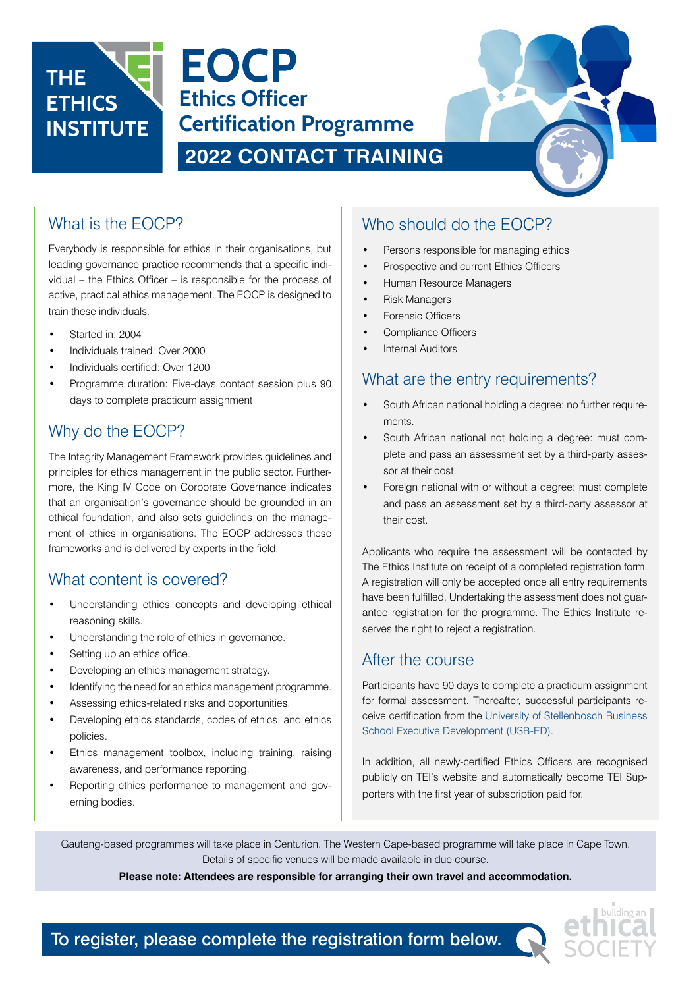

**EOCP Ethics Officer Certification Programme**

# **2022 CONTACT TRAINING**

## What is the EOCP?

Everybody is responsible for ethics in their organisations, but leading governance practice recommends that a specific individual – the Ethics Officer – is responsible for the process of active, practical ethics management. The EOCP is designed to train these individuals.

- Started in: 2004
- Individuals trained: Over 2000
- Individuals certified: Over 1200
- Programme duration: Five-days contact session plus 90 days to complete practicum assignment

# Why do the EOCP?

The Integrity Management Framework provides guidelines and principles for ethics management in the public sector. Furthermore, the King IV Code on Corporate Governance indicates that an organisation's governance should be grounded in an ethical foundation, and also sets guidelines on the management of ethics in organisations. The EOCP addresses these frameworks and is delivered by experts in the field.

## What content is covered?

- Understanding ethics concepts and developing ethical reasoning skills.
- Understanding the role of ethics in governance.
- Setting up an ethics office.
- Developing an ethics management strategy.
- Identifying the need for an ethics management programme.
- Assessing ethics-related risks and opportunities.
- Developing ethics standards, codes of ethics, and ethics policies.
- Ethics management toolbox, including training, raising awareness, and performance reporting.
- Reporting ethics performance to management and governing bodies.

## Who should do the EOCP?

- Persons responsible for managing ethics
- Prospective and current Ethics Officers
- Human Resource Managers
- Risk Managers
- Forensic Officers
- Compliance Officers
- **Internal Auditors**

## What are the entry requirements?

- South African national holding a degree: no further requirements.
- South African national not holding a degree: must complete and pass an assessment set by a third-party assessor at their cost.
- Foreign national with or without a degree: must complete and pass an assessment set by a third-party assessor at their cost.

Applicants who require the assessment will be contacted by The Ethics Institute on receipt of a completed registration form. A registration will only be accepted once all entry requirements have been fulfilled. Undertaking the assessment does not guarantee registration for the programme. The Ethics Institute reserves the right to reject a registration.

#### After the course

Participants have 90 days to complete a practicum assignment for formal assessment. Thereafter, successful participants receive certification from the University of Stellenbosch Business School Executive Development (USB-ED).

In addition, all newly-certified Ethics Officers are recognised publicly on TEI's website and automatically become TEI Supporters with the first year of subscription paid for.

Gauteng-based programmes will take place in Centurion. The Western Cape-based programme will take place in Cape Town. Details of specific venues will be made available in due course.

#### **Please note: Attendees are responsible for arranging their own travel and accommodation.**



To register, please complete the registration form below.